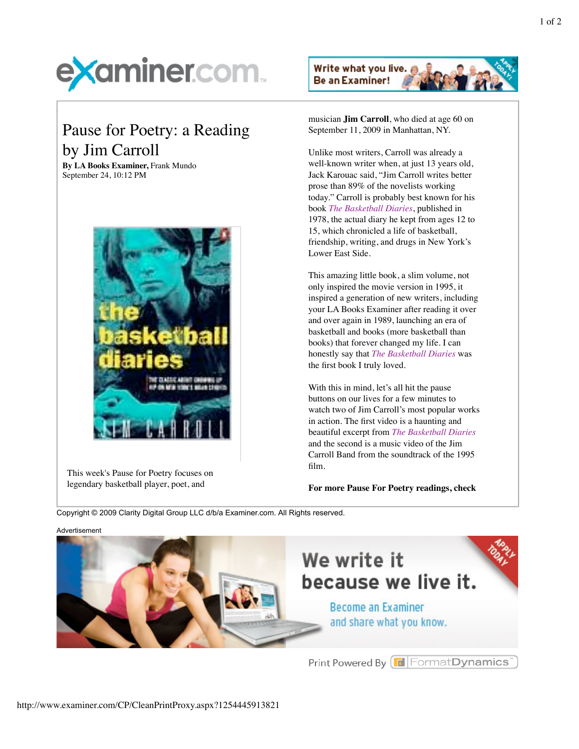

## Pause for Poetry: a Reading by Jim Carroll

**By LA Books Examiner,** Frank Mundo September 24, 10:12 PM



This week's Pause for Poetry focuses on legendary basketball player, poet, and



musician **Jim Carroll**, who died at age 60 on September 11, 2009 in Manhattan, NY.

Unlike most writers, Carroll was already a well-known writer when, at just 13 years old, Jack Karouac said, "Jim Carroll writes better prose than 89% of the novelists working today." Carroll is probably best known for his book *The Basketball Diaries*, published in 1978, the actual diary he kept from ages 12 to 15, which chronicled a life of basketball, friendship, writing, and drugs in New York's Lower East Side.

This amazing little book, a slim volume, not only inspired the movie version in 1995, it inspired a generation of new writers, including your LA Books Examiner after reading it over and over again in 1989, launching an era of basketball and books (more basketball than books) that forever changed my life. I can honestly say that *The Basketball Diaries* was the first book I truly loved.

With this in mind, let's all hit the pause buttons on our lives for a few minutes to watch two of Jim Carroll's most popular works in action. The first video is a haunting and beautiful excerpt from *The Basketball Diaries* and the second is a music video of the Jim Carroll Band from the soundtrack of the 1995 film.

**For more Pause For Poetry readings, check**

Copyright © 2009 Clarity Digital Group LLC d/b/a Examiner.com. All Rights reserved.





Print Powered By **F** Format Dynamics